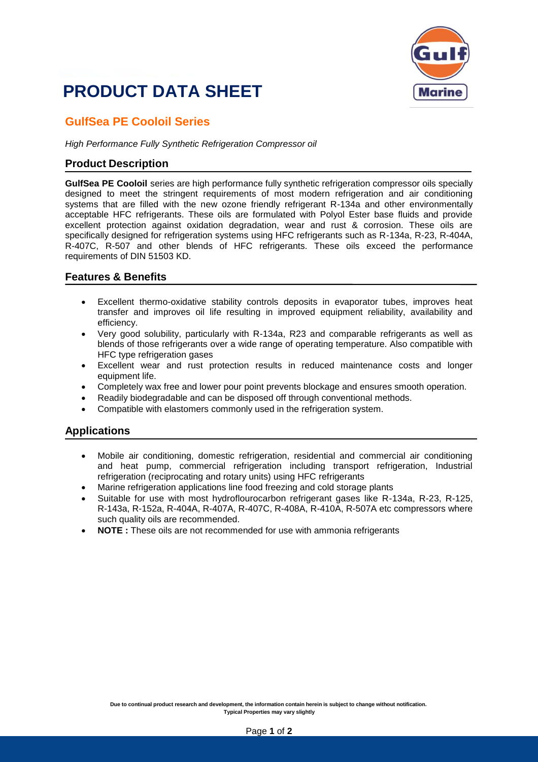## **PRODUCT DATA SHEET**



### **GulfSea PE Cooloil Series**

*High Performance Fully Synthetic Refrigeration Compressor oil*

#### **Product Description**

**GulfSea PE Cooloil** series are high performance fully synthetic refrigeration compressor oils specially designed to meet the stringent requirements of most modern refrigeration and air conditioning systems that are filled with the new ozone friendly refrigerant R-134a and other environmentally acceptable HFC refrigerants. These oils are formulated with Polyol Ester base fluids and provide excellent protection against oxidation degradation, wear and rust & corrosion. These oils are specifically designed for refrigeration systems using HFC refrigerants such as R-134a, R-23, R-404A, R-407C, R-507 and other blends of HFC refrigerants. These oils exceed the performance requirements of DIN 51503 KD.

#### **Features & Benefits**

- Excellent thermo-oxidative stability controls deposits in evaporator tubes, improves heat transfer and improves oil life resulting in improved equipment reliability, availability and efficiency.
- Very good solubility, particularly with R-134a, R23 and comparable refrigerants as well as blends of those refrigerants over a wide range of operating temperature. Also compatible with HFC type refrigeration gases
- Excellent wear and rust protection results in reduced maintenance costs and longer equipment life.
- Completely wax free and lower pour point prevents blockage and ensures smooth operation.
- Readily biodegradable and can be disposed off through conventional methods.
- Compatible with elastomers commonly used in the refrigeration system.

#### **Applications**

- Mobile air conditioning, domestic refrigeration, residential and commercial air conditioning and heat pump, commercial refrigeration including transport refrigeration, Industrial refrigeration (reciprocating and rotary units) using HFC refrigerants
- Marine refrigeration applications line food freezing and cold storage plants
- Suitable for use with most hydroflourocarbon refrigerant gases like R-134a, R-23, R-125, R-143a, R-152a, R-404A, R-407A, R-407C, R-408A, R-410A, R-507A etc compressors where such quality oils are recommended.
- **NOTE :** These oils are not recommended for use with ammonia refrigerants